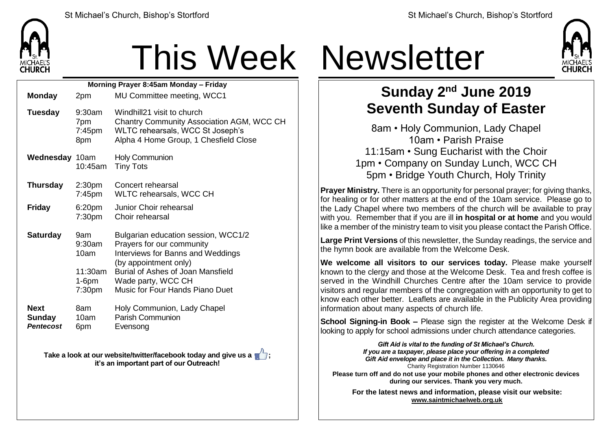

## This Week Newsletter

| Morning Prayer 8:45am Monday - Friday            |                                                                       |                                                                                                                                                                                                                                     |  |  |  |  |
|--------------------------------------------------|-----------------------------------------------------------------------|-------------------------------------------------------------------------------------------------------------------------------------------------------------------------------------------------------------------------------------|--|--|--|--|
| <b>Monday</b>                                    | 2pm                                                                   | MU Committee meeting, WCC1                                                                                                                                                                                                          |  |  |  |  |
| <b>Tuesday</b>                                   | $9:30$ am<br>7pm<br>7:45pm<br>8pm                                     | Windhill21 visit to church<br><b>Chantry Community Association AGM, WCC CH</b><br>WLTC rehearsals, WCC St Joseph's<br>Alpha 4 Home Group, 1 Chesfield Close                                                                         |  |  |  |  |
| <b>Wednesday 10am</b>                            | 10:45am                                                               | <b>Holy Communion</b><br><b>Tiny Tots</b>                                                                                                                                                                                           |  |  |  |  |
| <b>Thursday</b>                                  | 2:30 <sub>pm</sub><br>$7:45$ pm                                       | Concert rehearsal<br>WLTC rehearsals, WCC CH                                                                                                                                                                                        |  |  |  |  |
| <b>Friday</b>                                    | 6:20pm<br>7:30 <sub>pm</sub>                                          | Junior Choir rehearsal<br>Choir rehearsal                                                                                                                                                                                           |  |  |  |  |
| <b>Saturday</b>                                  | 9am<br>9:30am<br>10am<br>$11:30$ am<br>$1-6$ pm<br>7:30 <sub>pm</sub> | Bulgarian education session, WCC1/2<br>Prayers for our community<br><b>Interviews for Banns and Weddings</b><br>(by appointment only)<br>Burial of Ashes of Joan Mansfield<br>Wade party, WCC CH<br>Music for Four Hands Piano Duet |  |  |  |  |
| <b>Next</b><br><b>Sunday</b><br><b>Pentecost</b> | 8am<br>10am<br>6pm                                                    | Holy Communion, Lady Chapel<br><b>Parish Communion</b><br>Evensong                                                                                                                                                                  |  |  |  |  |

**Take a look at our website/twitter/facebook today and give us a**  $\blacksquare$ **: it's an important part of our Outreach!**



## **Sunday 2 nd June 2019 Seventh Sunday of Easter**

8am • Holy Communion, Lady Chapel 10am • Parish Praise 11:15am • Sung Eucharist with the Choir 1pm • Company on Sunday Lunch, WCC CH 5pm • Bridge Youth Church, Holy Trinity

**Prayer Ministry.** There is an opportunity for personal prayer; for giving thanks, for healing or for other matters at the end of the 10am service. Please go to the Lady Chapel where two members of the church will be available to pray with you. Remember that if you are ill **in hospital or at home** and you would like a member of the ministry team to visit you please contact the Parish Office.

**Large Print Versions** of this newsletter, the Sunday readings, the service and the hymn book are available from the Welcome Desk.

**We welcome all visitors to our services today.** Please make yourself known to the clergy and those at the Welcome Desk. Tea and fresh coffee is served in the Windhill Churches Centre after the 10am service to provide visitors and regular members of the congregation with an opportunity to get to know each other better. Leaflets are available in the Publicity Area providing information about many aspects of church life.

**School Signing-in Book –** Please sign the register at the Welcome Desk if looking to apply for school admissions under church attendance categories.

> *Gift Aid is vital to the funding of St Michael's Church. If you are a taxpayer, please place your offering in a completed Gift Aid envelope and place it in the Collection. Many thanks.* Charity Registration Number 1130646

**Please turn off and do not use your mobile phones and other electronic devices during our services. Thank you very much.**

**For the latest news and information, please visit our website: [www.saintmichaelweb.org.uk](http://www.saintmichaelweb.org.uk/)**